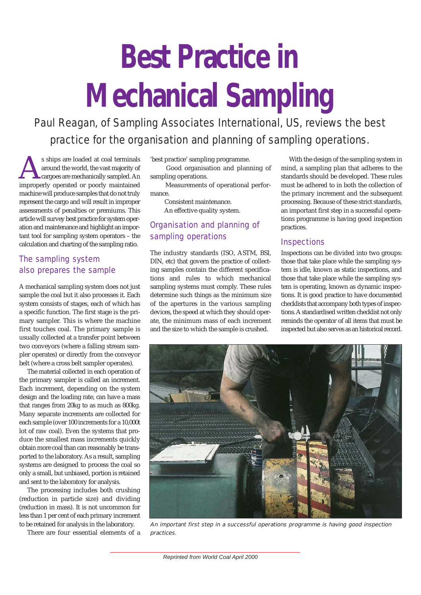# **Best Practice in Mechanical Sampling**

*Paul Reagan, of Sampling Associates International, US, reviews the best practice for the organisation and planning of sampling operations.*

s ships are loaded at coal terminals<br>around the world, the vast majority of<br>cargoes are mechanically sampled. An<br>improperly operated or poorly maintained around the world, the vast majority of cargoes are mechanically sampled. An improperly operated or poorly maintained machine will produce samples that do not truly represent the cargo and will result in improper assessments of penalties or premiums. This article will survey best practice for system operation and maintenance and highlight an important tool for sampling system operators – the calculation and charting of the sampling ratio.

# The sampling system also prepares the sample

A mechanical sampling system does not just sample the coal but it also processes it. Each system consists of stages, each of which has a specific function. The first stage is the primary sampler. This is where the machine first touches coal. The primary sample is usually collected at a transfer point between two conveyors (where a falling stream sampler operates) or directly from the conveyor belt (where a cross belt sampler operates).

The material collected in each operation of the primary sampler is called an increment. Each increment, depending on the system design and the loading rate, can have a mass that ranges from 20kg to as much as 800kg. Many separate increments are collected for each sample (over 100 increments for a 10,000t lot of raw coal). Even the systems that produce the smallest mass increments quickly obtain more coal than can reasonably be transported to the laboratory. As a result, sampling systems are designed to process the coal so only a small, but unbiased, portion is retained and sent to the laboratory for analysis.

The processing includes both crushing (reduction in particle size) and dividing (reduction in mass). It is not uncommon for less than 1 per cent of each primary increment to be retained for analysis in the laboratory.

There are four essential elements of a

'best practice' sampling programme.

Good organisation and planning of sampling operations.

Measurements of operational performance.

Consistent maintenance.

An effective quality system.

# Organisation and planning of sampling operations

The industry standards (ISO, ASTM, BSI, DIN, etc) that govern the practice of collecting samples contain the different specifications and rules to which mechanical sampling systems must comply. These rules determine such things as the minimum size of the apertures in the various sampling devices, the speed at which they should operate, the minimum mass of each increment and the size to which the sample is crushed.

With the design of the sampling system in mind, a sampling plan that adheres to the standards should be developed. These rules must be adhered to in both the collection of the primary increment and the subsequent processing. Because of these strict standards, an important first step in a successful operations programme is having good inspection practices.

# **Inspections**

Inspections can be divided into two groups: those that take place while the sampling system is idle, known as static inspections, and those that take place while the sampling system is operating, known as dynamic inspections. It is good practice to have documented checklists that accompany both types of inspections. A standardised written checklist not only reminds the operator of all items that must be inspected but also serves as an historical record.



An important first step in a successful operations programme is having good inspection practices.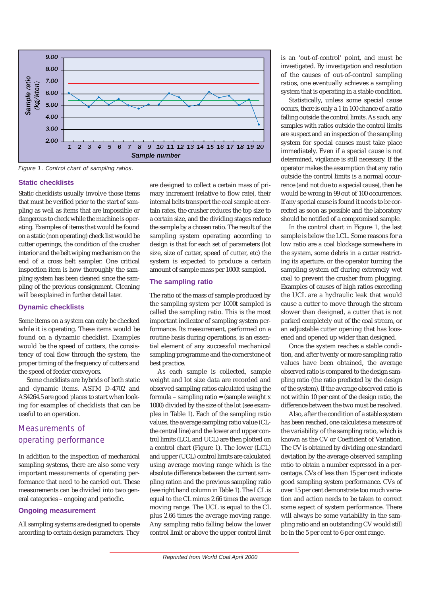

Figure 1. Control chart of sampling ratios.

#### **Static checklists**

Static checklists usually involve those items that must be verified prior to the start of sampling as well as items that are impossible or dangerous to check while the machine is operating. Examples of items that would be found on a static (non operating) check list would be cutter openings, the condition of the crusher interior and the belt wiping mechanism on the end of a cross belt sampler. One critical inspection item is how thoroughly the sampling system has been cleaned since the sampling of the previous consignment. Cleaning will be explained in further detail later.

#### **Dynamic checklists**

Some items on a system can only be checked while it is operating. These items would be found on a dynamic checklist. Examples would be the speed of cutters, the consistency of coal flow through the system, the proper timing of the frequency of cutters and the speed of feeder conveyors.

Some checklists are hybrids of both static and dynamic items. ASTM D-4702 and AS4264.5 are good places to start when looking for examples of checklists that can be useful to an operation.

# Measurements of operating performance

In addition to the inspection of mechanical sampling systems, there are also some very important measurements of operating performance that need to be carried out. These measurements can be divided into two general categories – ongoing and periodic.

### **Ongoing measurement**

All sampling systems are designed to operate according to certain design parameters. They are designed to collect a certain mass of primary increment (relative to flow rate), their internal belts transport the coal sample at certain rates, the crusher reduces the top size to a certain size, and the dividing stages reduce the sample by a chosen ratio. The result of the sampling system operating according to design is that for each set of parameters (lot size, size of cutter, speed of cutter, etc) the system is expected to produce a certain amount of sample mass per 1000t sampled.

### **The sampling ratio**

The ratio of the mass of sample produced by the sampling system per 1000t sampled is called the sampling ratio. This is the most important indicator of sampling system performance. Its measurement, performed on a routine basis during operations, is an essential element of any successful mechanical sampling programme and the cornerstone of best practice.

As each sample is collected, sample weight and lot size data are recorded and observed sampling ratios calculated using the formula – sampling ratio = (sample weight x 1000) divided by the size of the lot (see examples in Table 1). Each of the sampling ratio values, the average sampling ratio value (CLthe central line) and the lower and upper control limits (LCL and UCL) are then plotted on a control chart (Figure 1). The lower (LCL) and upper (UCL) control limits are calculated using average moving range which is the absolute difference between the current sampling ration and the previous sampling ratio (see right hand column in Table 1). The LCL is equal to the CL minus 2.66 times the average moving range. The UCL is equal to the CL plus 2.66 times the average moving range. Any sampling ratio falling below the lower control limit or above the upper control limit

is an 'out-of-control' point, and must be investigated. By investigation and resolution of the causes of out-of-control sampling ratios, one eventually achieves a sampling system that is operating in a stable condition.

Statistically, unless some special cause occurs, there is only a 1 in 100 chance of a ratio falling outside the control limits. As such, any samples with ratios outside the control limits are suspect and an inspection of the sampling system for special causes must take place immediately. Even if a special cause is not determined, vigilance is still necessary. If the operator makes the assumption that any ratio outside the control limits is a normal occurrence (and not due to a special cause), then he would be wrong in 99 out of 100 occurrences. If any special cause is found it needs to be corrected as soon as possible and the laboratory should be notified of a compromised sample.

In the control chart in Figure 1, the last sample is below the LCL. Some reasons for a low ratio are a coal blockage somewhere in the system, some debris in a cutter restricting its aperture, or the operator turning the sampling system off during extremely wet coal to prevent the crusher from plugging. Examples of causes of high ratios exceeding the UCL are a hydraulic leak that would cause a cutter to move through the stream slower than designed, a cutter that is not parked completely out of the coal stream, or an adjustable cutter opening that has loosened and opened up wider than designed.

Once the system reaches a stable condition, and after twenty or more sampling ratio values have been obtained, the average observed ratio is compared to the design sampling ratio (the ratio predicted by the design of the system). If the average observed ratio is not within 10 per cent of the design ratio, the difference between the two must be resolved.

Also, after the condition of a stable system has been reached, one calculates a measure of the variability of the sampling ratio, which is known as the CV or Coefficient of Variation. The CV is obtained by dividing one standard deviation by the average observed sampling ratio to obtain a number expressed in a percentage. CVs of less than 15 per cent indicate good sampling system performance. CVs of over 15 per cent demonstrate too much variation and action needs to be taken to correct some aspect of system performance. There will always be some variability in the sampling ratio and an outstanding CV would still be in the 5 per cent to 6 per cent range.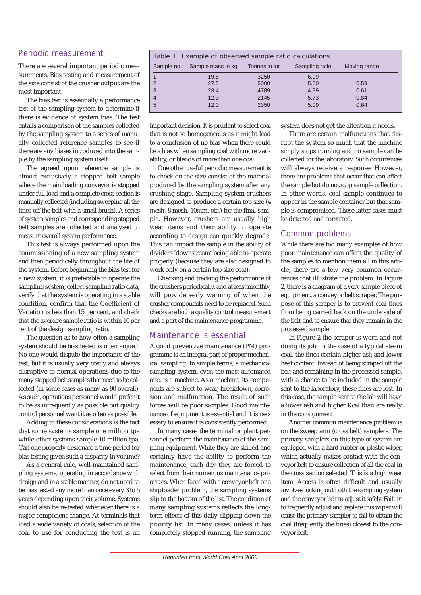## Periodic measurement

There are several important periodic measurements. Bias testing and measurement of the size consist of the crusher output are the most important.

The bias test is essentially a performance test of the sampling system to determine if there is evidence of system bias. The test entails a comparison of the samples collected by the sampling system to a series of manually collected reference samples to see if there are any biases introduced into the sample by the sampling system itself.

The agreed upon reference sample is almost exclusively a stopped belt sample where the main loading conveyor is stopped under full load and a complete cross section is manually collected (including sweeping all the fines off the belt with a small brush). A series of system samples and corresponding stopped belt samples are collected and analysed to measure overall system performance.

This test is always performed upon the commissioning of a new sampling system and then periodically throughout the life of the system. Before beginning the bias test for a new system, it is preferable to operate the sampling system, collect sampling ratio data, verify that the system is operating in a stable condition, confirm that the Coefficient of Variation is less than 15 per cent, and check that the average sample ratio is within 10 per cent of the design sampling ratio.

The question as to how often a sampling system should be bias tested is often argued. No one would dispute the importance of the test, but it is usually very costly and always disruptive to normal operations due to the many stopped belt samples that need to be collected (in some cases as many as 90 overall). As such, operations personnel would prefer it to be as infrequently as possible but quality control personnel want it as often as possible.

Adding to these considerations is the fact that some systems sample one million tpa while other systems sample 10 million tpa. Can one properly designate a time period for bias testing given such a disparity in volume?

As a general rule, well-maintained sampling systems, operating in accordance with design and in a stable manner, do not need to be bias tested any more than once every 3 to 5 years depending upon their volume. Systems should also be re-tested whenever there is a major component change. At terminals that load a wide variety of coals, selection of the coal to use for conducting the test is an

#### Table 1. Example of observed sample ratio calculations. Sample no. Sample mass in kg Tonnes in lot Sampling ratio Moving range 1 19.8 3250 6.09 2 27.5 5000 5.50 0.59 3 23.4 4789 4.89 0.61 4 12.3 2145 5.73 0.84 5 12.0 2350 5.09 0.64

important decision. It is prudent to select coal that is not so homogeneous as it might lead to a conclusion of no bias when there could be a bias when sampling coal with more variability, or blends of more than one coal.

One other useful periodic measurement is to check on the size consist of the material produced by the sampling system after any crushing stage. Sampling system crushers are designed to produce a certain top size (4 mesh, 8 mesh, 10mm, etc.) for the final sample. However, crushers are usually high wear items and their ability to operate according to design can quickly degrade. This can impact the sample in the ability of dividers 'downstream' being able to operate properly (because they are also designed to work only on a certain top size coal).

Checking and tracking the performance of the crushers periodically, and at least monthly, will provide early warning of when the crusher components need to be replaced. Such checks are both a quality control measurement and a part of the maintenance programme.

## Maintenance is essential

A good preventive maintenance (PM) programme is an integral part of proper mechanical sampling. In simple terms, a mechanical sampling system, even the most automated one, is a machine. As a machine, its components are subject to wear, breakdown, corrosion and malfunction. The result of such forces will be poor samples. Good maintenance of equipment is essential and it is necessary to ensure it is consistently performed.

In many cases the terminal or plant personnel perform the maintenance of the sampling equipment. While they are skilled and certainly have the ability to perform the maintenance, each day they are forced to select from their numerous maintenance priorities. When faced with a conveyor belt or a shiploader problem, the sampling systems slip to the bottom of the list. The condition of many sampling systems reflects the longterm effects of this daily slipping down the priority list. In many cases, unless it has completely stopped running, the sampling

system does not get the attention it needs.

There are certain malfunctions that disrupt the system so much that the machine simply stops running and no sample can be collected for the laboratory. Such occurrences will always receive a response. However, there are problems that occur that can affect the sample but do not stop sample collection. In other words, coal sample continues to appear in the sample container but that sample is compromised. These latter cases must be detected and corrected.

## Common problems

While there are too many examples of how poor maintenance can affect the quality of the samples to mention them all in this article, there are a few very common occurrences that illustrate the problem. In Figure 2, there is a diagram of a very simple piece of equipment, a conveyor belt scraper. The purpose of this scraper is to prevent coal fines from being carried back on the underside of the belt and to ensure that they remain in the processed sample.

In Figure 2 the scraper is worn and not doing its job. In the case of a typical steam coal, the fines contain higher ash and lower heat content. Instead of being scraped off the belt and remaining in the processed sample, with a chance to be included in the sample sent to the laboratory, these fines are lost. In this case, the sample sent to the lab will have a lower ash and higher Kcal than are really in the consignment.

Another common maintenance problem is on the sweep arm (cross belt) samplers. The primary samplers on this type of system are equipped with a hard rubber or plastic wiper, which actually makes contact with the conveyor belt to ensure collection of all the coal in the cross section selected. This is a high wear item. Access is often difficult and usually involves locking out both the sampling system and the conveyor belt to adjust it safely. Failure to frequently adjust and replace this wiper will cause the primary sampler to fail to obtain the coal (frequently the fines) closest to the conveyor belt.